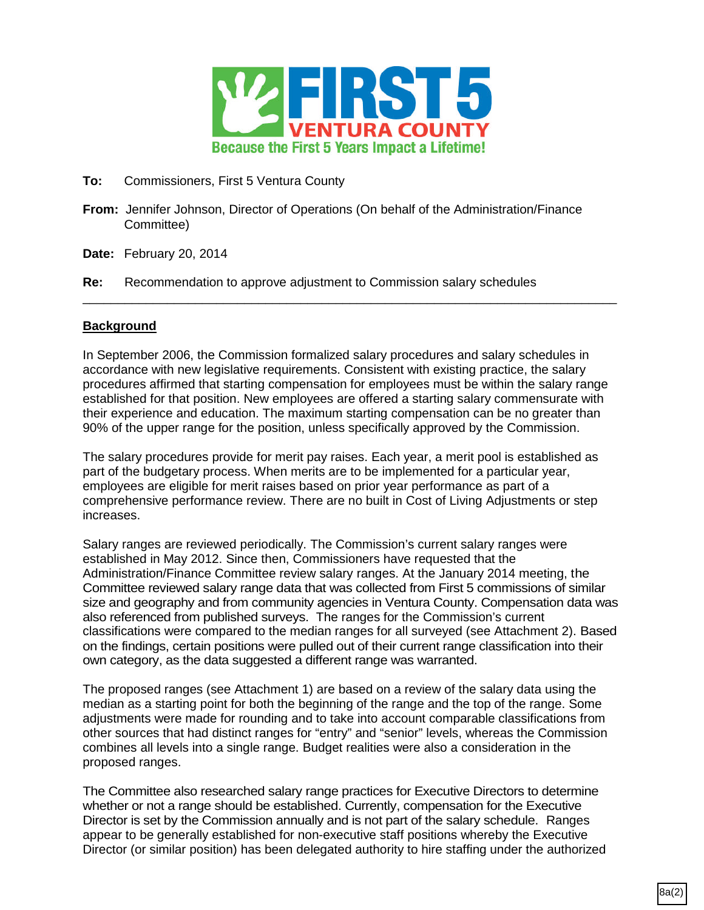

- **To:** Commissioners, First 5 Ventura County
- **From:** Jennifer Johnson, Director of Operations (On behalf of the Administration/Finance Committee)
- **Date:** February 20, 2014
- **Re:** Recommendation to approve adjustment to Commission salary schedules

## **Background**

In September 2006, the Commission formalized salary procedures and salary schedules in accordance with new legislative requirements. Consistent with existing practice, the salary procedures affirmed that starting compensation for employees must be within the salary range established for that position. New employees are offered a starting salary commensurate with their experience and education. The maximum starting compensation can be no greater than 90% of the upper range for the position, unless specifically approved by the Commission.

\_\_\_\_\_\_\_\_\_\_\_\_\_\_\_\_\_\_\_\_\_\_\_\_\_\_\_\_\_\_\_\_\_\_\_\_\_\_\_\_\_\_\_\_\_\_\_\_\_\_\_\_\_\_\_\_\_\_\_\_\_\_\_\_\_\_\_\_\_\_\_\_\_\_\_\_

The salary procedures provide for merit pay raises. Each year, a merit pool is established as part of the budgetary process. When merits are to be implemented for a particular year, employees are eligible for merit raises based on prior year performance as part of a comprehensive performance review. There are no built in Cost of Living Adjustments or step increases.

Salary ranges are reviewed periodically. The Commission's current salary ranges were established in May 2012. Since then, Commissioners have requested that the Administration/Finance Committee review salary ranges. At the January 2014 meeting, the Committee reviewed salary range data that was collected from First 5 commissions of similar size and geography and from community agencies in Ventura County. Compensation data was also referenced from published surveys. The ranges for the Commission's current classifications were compared to the median ranges for all surveyed (see Attachment 2). Based on the findings, certain positions were pulled out of their current range classification into their own category, as the data suggested a different range was warranted.

The proposed ranges (see Attachment 1) are based on a review of the salary data using the median as a starting point for both the beginning of the range and the top of the range. Some adjustments were made for rounding and to take into account comparable classifications from other sources that had distinct ranges for "entry" and "senior" levels, whereas the Commission combines all levels into a single range. Budget realities were also a consideration in the proposed ranges.

The Committee also researched salary range practices for Executive Directors to determine whether or not a range should be established. Currently, compensation for the Executive Director is set by the Commission annually and is not part of the salary schedule. Ranges appear to be generally established for non-executive staff positions whereby the Executive Director (or similar position) has been delegated authority to hire staffing under the authorized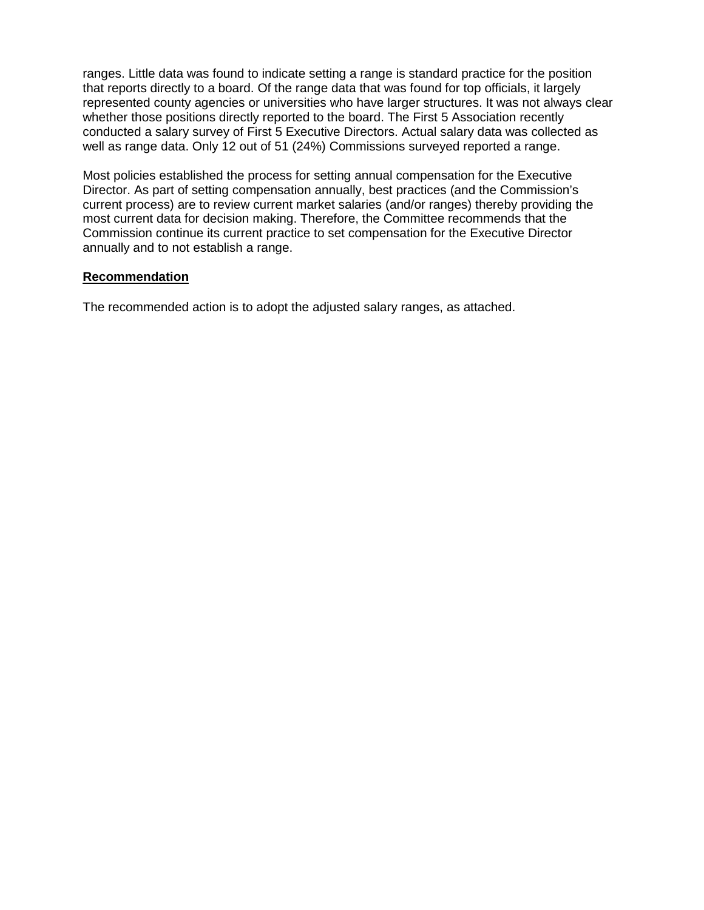ranges. Little data was found to indicate setting a range is standard practice for the position that reports directly to a board. Of the range data that was found for top officials, it largely represented county agencies or universities who have larger structures. It was not always clear whether those positions directly reported to the board. The First 5 Association recently conducted a salary survey of First 5 Executive Directors. Actual salary data was collected as well as range data. Only 12 out of 51 (24%) Commissions surveyed reported a range.

Most policies established the process for setting annual compensation for the Executive Director. As part of setting compensation annually, best practices (and the Commission's current process) are to review current market salaries (and/or ranges) thereby providing the most current data for decision making. Therefore, the Committee recommends that the Commission continue its current practice to set compensation for the Executive Director annually and to not establish a range.

## **Recommendation**

The recommended action is to adopt the adjusted salary ranges, as attached.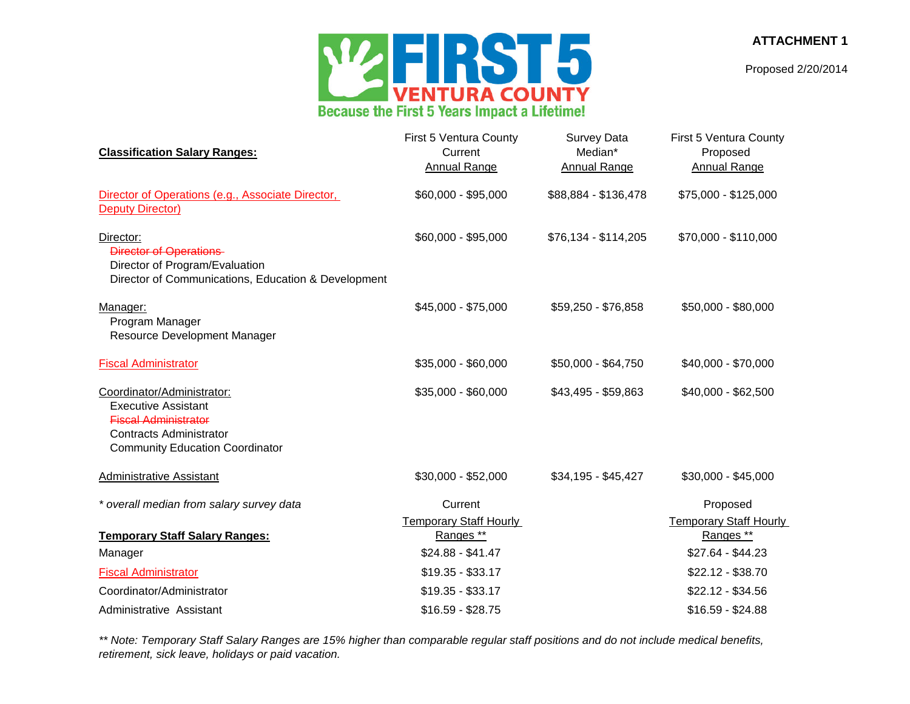**ATTACHMENT 1**

Proposed 2/20/2014



| <b>Classification Salary Ranges:</b>                                                                                                                                | First 5 Ventura County<br>Current<br><b>Annual Range</b> | Survey Data<br>Median*<br><b>Annual Range</b> | First 5 Ventura County<br>Proposed<br><b>Annual Range</b> |  |  |  |
|---------------------------------------------------------------------------------------------------------------------------------------------------------------------|----------------------------------------------------------|-----------------------------------------------|-----------------------------------------------------------|--|--|--|
| Director of Operations (e.g., Associate Director,<br><b>Deputy Director)</b>                                                                                        | \$60,000 - \$95,000                                      | \$88,884 - \$136,478                          | \$75,000 - \$125,000                                      |  |  |  |
| Director:<br><b>Director of Operations</b><br>Director of Program/Evaluation<br>Director of Communications, Education & Development                                 | \$60,000 - \$95,000                                      | $$76,134 - $114,205$                          | \$70,000 - \$110,000                                      |  |  |  |
| Manager:<br>Program Manager<br>Resource Development Manager                                                                                                         | \$45,000 - \$75,000                                      | \$59,250 - \$76,858                           | \$50,000 - \$80,000                                       |  |  |  |
| <b>Fiscal Administrator</b>                                                                                                                                         | \$35,000 - \$60,000                                      | \$50,000 - \$64,750                           | \$40,000 - \$70,000                                       |  |  |  |
| Coordinator/Administrator:<br><b>Executive Assistant</b><br><b>Fiscal Administrator</b><br><b>Contracts Administrator</b><br><b>Community Education Coordinator</b> | \$35,000 - \$60,000                                      | \$43,495 - \$59,863                           | \$40,000 - \$62,500                                       |  |  |  |
| Administrative Assistant                                                                                                                                            | \$30,000 - \$52,000                                      | \$34,195 - \$45,427                           | $$30,000 - $45,000$                                       |  |  |  |
| * overall median from salary survey data                                                                                                                            | Current<br><b>Temporary Staff Hourly</b>                 |                                               | Proposed<br><b>Temporary Staff Hourly</b>                 |  |  |  |
| <b>Temporary Staff Salary Ranges:</b>                                                                                                                               | Ranges **                                                |                                               | Ranges **                                                 |  |  |  |
| Manager                                                                                                                                                             | $$24.88 - $41.47$                                        |                                               | $$27.64 - $44.23$                                         |  |  |  |
| <b>Fiscal Administrator</b>                                                                                                                                         | $$19.35 - $33.17$                                        |                                               | $$22.12 - $38.70$                                         |  |  |  |
| Coordinator/Administrator                                                                                                                                           | $$19.35 - $33.17$                                        |                                               | $$22.12 - $34.56$                                         |  |  |  |
| Administrative Assistant                                                                                                                                            | $$16.59 - $28.75$                                        |                                               | $$16.59 - $24.88$                                         |  |  |  |

*\*\* Note: Temporary Staff Salary Ranges are 15% higher than comparable regular staff positions and do not include medical benefits, retirement, sick leave, holidays or paid vacation.*